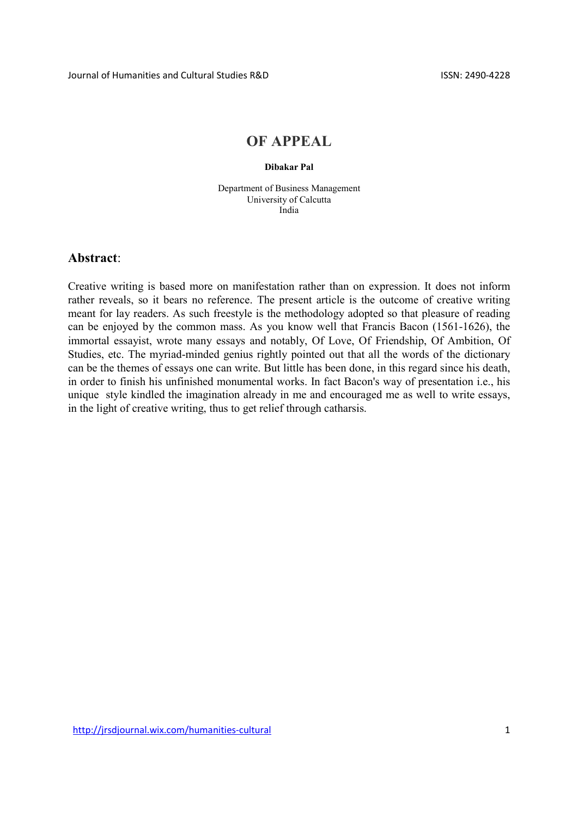## OF APPEAL

## Dibakar Pal

Department of Business Management University of Calcutta India

## Abstract:

Creative writing is based more on manifestation rather than on expression. It does not inform rather reveals, so it bears no reference. The present article is the outcome of creative writing meant for lay readers. As such freestyle is the methodology adopted so that pleasure of reading can be enjoyed by the common mass. As you know well that Francis Bacon (1561-1626), the immortal essayist, wrote many essays and notably, Of Love, Of Friendship, Of Ambition, Of Studies, etc. The myriad-minded genius rightly pointed out that all the words of the dictionary can be the themes of essays one can write. But little has been done, in this regard since his death, in order to finish his unfinished monumental works. In fact Bacon's way of presentation i.e., his unique style kindled the imagination already in me and encouraged me as well to write essays, in the light of creative writing, thus to get relief through catharsis.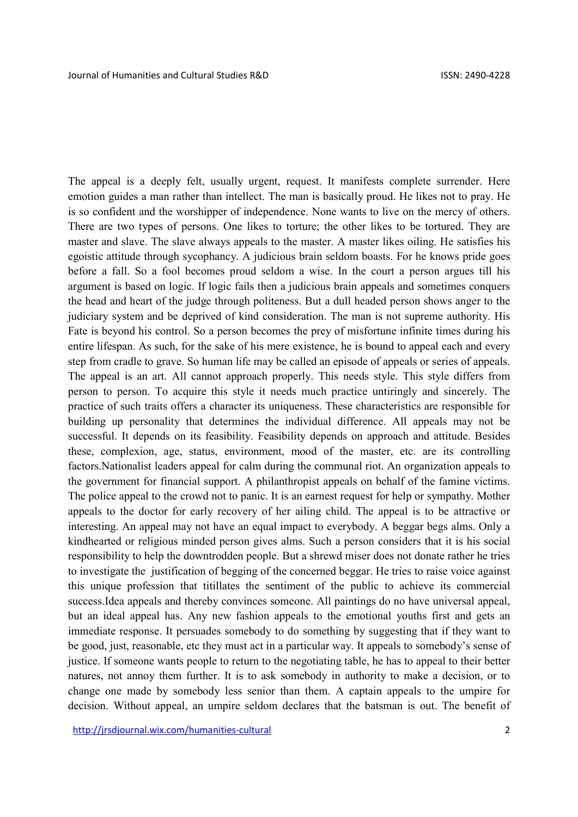The appeal is a deeply felt, usually urgent, request. It manifests complete surrender. Here emotion guides a man rather than intellect. The man is basically proud. He likes not to pray. He is so confident and the worshipper of independence. None wants to live on the mercy of others. There are two types of persons. One likes to torture; the other likes to be tortured. They are master and slave. The slave always appeals to the master. A master likes oiling. He satisfies his egoistic attitude through sycophancy. A judicious brain seldom boasts. For he knows pride goes before a fall. So a fool becomes proud seldom a wise. In the court a person argues till his argument is based on logic. If logic fails then a judicious brain appeals and sometimes conquers the head and heart of the judge through politeness. But a dull headed person shows anger to the judiciary system and be deprived of kind consideration. The man is not supreme authority. His Fate is beyond his control. So a person becomes the prey of misfortune infinite times during his entire lifespan. As such, for the sake of his mere existence, he is bound to appeal each and every step from cradle to grave. So human life may be called an episode of appeals or series of appeals. The appeal is an art. All cannot approach properly. This needs style. This style differs from person to person. To acquire this style it needs much practice untiringly and sincerely. The practice of such traits offers a character its uniqueness. These characteristics are responsible for building up personality that determines the individual difference. All appeals may not be successful. It depends on its feasibility. Feasibility depends on approach and attitude. Besides these, complexion, age, status, environment, mood of the master, etc. are its controlling factors.Nationalist leaders appeal for calm during the communal riot. An organization appeals to the government for financial support. A philanthropist appeals on behalf of the famine victims. The police appeal to the crowd not to panic. It is an earnest request for help or sympathy. Mother appeals to the doctor for early recovery of her ailing child. The appeal is to be attractive or interesting. An appeal may not have an equal impact to everybody. A beggar begs alms. Only a kindhearted or religious minded person gives alms. Such a person considers that it is his social responsibility to help the downtrodden people. But a shrewd miser does not donate rather he tries to investigate the justification of begging of the concerned beggar. He tries to raise voice against this unique profession that titillates the sentiment of the public to achieve its commercial success.Idea appeals and thereby convinces someone. All paintings do no have universal appeal, but an ideal appeal has. Any new fashion appeals to the emotional youths first and gets an immediate response. It persuades somebody to do something by suggesting that if they want to be good, just, reasonable, etc they must act in a particular way. It appeals to somebody's sense of justice. If someone wants people to return to the negotiating table, he has to appeal to their better natures, not annoy them further. It is to ask somebody in authority to make a decision, or to change one made by somebody less senior than them. A captain appeals to the umpire for decision. Without appeal, an umpire seldom declares that the batsman is out. The benefit of

http://jrsdjournal.wix.com/humanities-cultural 2